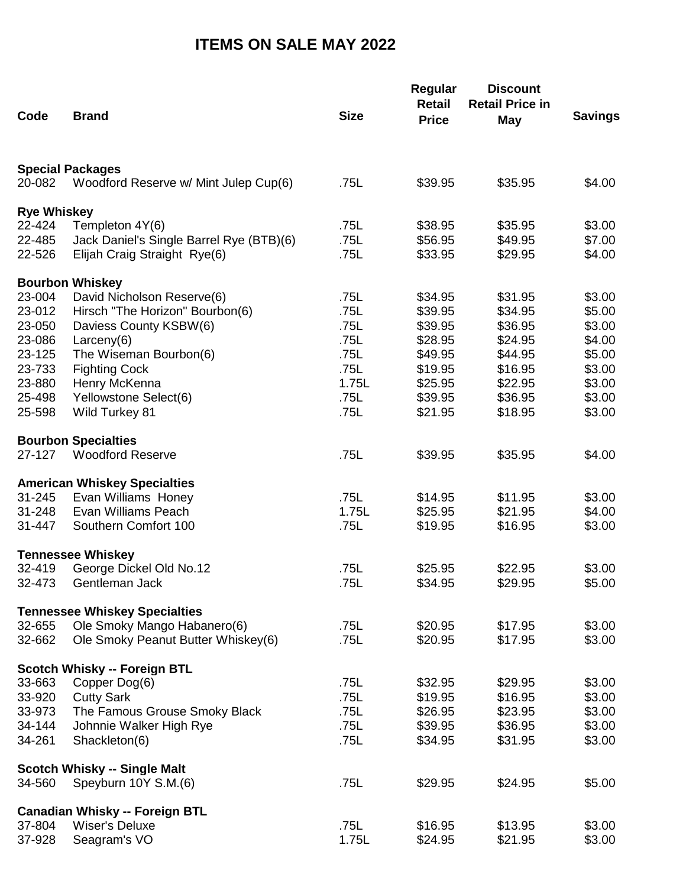## **ITEMS ON SALE MAY 2022**

| Code               | <b>Brand</b>                             | <b>Size</b> | Regular<br><b>Retail</b><br><b>Price</b> | <b>Discount</b><br><b>Retail Price in</b> | <b>Savings</b> |
|--------------------|------------------------------------------|-------------|------------------------------------------|-------------------------------------------|----------------|
|                    |                                          |             |                                          | <b>May</b>                                |                |
|                    | <b>Special Packages</b>                  |             |                                          |                                           |                |
| 20-082             | Woodford Reserve w/ Mint Julep Cup(6)    | .75L        | \$39.95                                  | \$35.95                                   | \$4.00         |
| <b>Rye Whiskey</b> |                                          |             |                                          |                                           |                |
| 22-424             | Templeton 4Y(6)                          | .75L        | \$38.95                                  | \$35.95                                   | \$3.00         |
| 22-485             | Jack Daniel's Single Barrel Rye (BTB)(6) | .75L        | \$56.95                                  | \$49.95                                   | \$7.00         |
| 22-526             | Elijah Craig Straight Rye(6)             | .75L        | \$33.95                                  | \$29.95                                   | \$4.00         |
|                    | <b>Bourbon Whiskey</b>                   |             |                                          |                                           |                |
| 23-004             | David Nicholson Reserve(6)               | .75L        | \$34.95                                  | \$31.95                                   | \$3.00         |
| 23-012             | Hirsch "The Horizon" Bourbon(6)          | .75L        | \$39.95                                  | \$34.95                                   | \$5.00         |
| 23-050             | Daviess County KSBW(6)                   | .75L        | \$39.95                                  | \$36.95                                   | \$3.00         |
| 23-086             | Larceny $(6)$                            | .75L        | \$28.95                                  | \$24.95                                   | \$4.00         |
| 23-125             | The Wiseman Bourbon(6)                   | .75L        | \$49.95                                  | \$44.95                                   | \$5.00         |
| 23-733             | <b>Fighting Cock</b>                     | .75L        | \$19.95                                  | \$16.95                                   | \$3.00         |
| 23-880             | Henry McKenna                            | 1.75L       | \$25.95                                  | \$22.95                                   | \$3.00         |
| 25-498             | Yellowstone Select(6)                    | .75L        | \$39.95                                  | \$36.95                                   | \$3.00         |
| 25-598             | Wild Turkey 81                           | .75L        | \$21.95                                  | \$18.95                                   | \$3.00         |
|                    | <b>Bourbon Specialties</b>               |             |                                          |                                           |                |
| 27-127             | <b>Woodford Reserve</b>                  | .75L        | \$39.95                                  | \$35.95                                   | \$4.00         |
|                    | <b>American Whiskey Specialties</b>      |             |                                          |                                           |                |
| 31-245             | Evan Williams Honey                      | .75L        | \$14.95                                  | \$11.95                                   | \$3.00         |
| $31 - 248$         | Evan Williams Peach                      | 1.75L       | \$25.95                                  | \$21.95                                   | \$4.00         |
| 31-447             | Southern Comfort 100                     | .75L        | \$19.95                                  | \$16.95                                   | \$3.00         |
|                    | <b>Tennessee Whiskey</b>                 |             |                                          |                                           |                |
| 32-419             | George Dickel Old No.12                  | .75L        | \$25.95                                  | \$22.95                                   | \$3.00         |
| 32-473             | Gentleman Jack                           | .75L        | \$34.95                                  | \$29.95                                   | \$5.00         |
|                    | <b>Tennessee Whiskey Specialties</b>     |             |                                          |                                           |                |
| 32-655             | Ole Smoky Mango Habanero(6)              | .75L        | \$20.95                                  | \$17.95                                   | \$3.00         |
| 32-662             | Ole Smoky Peanut Butter Whiskey(6)       | .75L        | \$20.95                                  | \$17.95                                   | \$3.00         |
|                    | <b>Scotch Whisky -- Foreign BTL</b>      |             |                                          |                                           |                |
| 33-663             | Copper Dog(6)                            | .75L        | \$32.95                                  | \$29.95                                   | \$3.00         |
| 33-920             | <b>Cutty Sark</b>                        | .75L        | \$19.95                                  | \$16.95                                   | \$3.00         |
| 33-973             | The Famous Grouse Smoky Black            | .75L        | \$26.95                                  | \$23.95                                   | \$3.00         |
| 34-144             | Johnnie Walker High Rye                  | .75L        | \$39.95                                  | \$36.95                                   | \$3.00         |
| 34-261             | Shackleton(6)                            | .75L        | \$34.95                                  | \$31.95                                   | \$3.00         |
|                    | <b>Scotch Whisky -- Single Malt</b>      |             |                                          |                                           |                |
| 34-560             | Speyburn 10Y S.M.(6)                     | .75L        | \$29.95                                  | \$24.95                                   | \$5.00         |
|                    | <b>Canadian Whisky -- Foreign BTL</b>    |             |                                          |                                           |                |
| 37-804             | <b>Wiser's Deluxe</b>                    | .75L        | \$16.95                                  | \$13.95                                   | \$3.00         |
| 37-928             | Seagram's VO                             | 1.75L       | \$24.95                                  | \$21.95                                   | \$3.00         |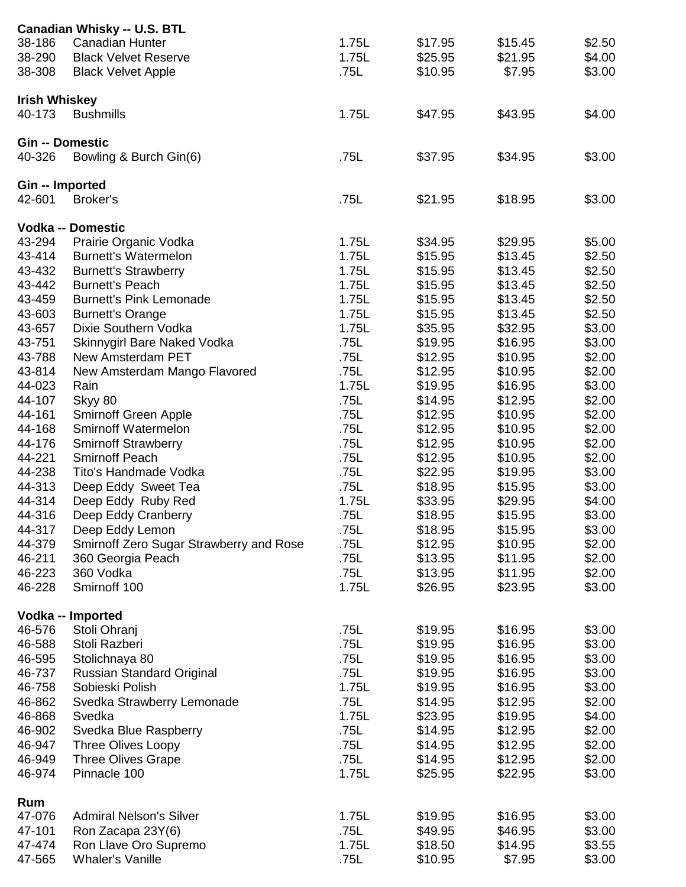|                        | <b>Canadian Whisky -- U.S. BTL</b>      |       |         |         |        |
|------------------------|-----------------------------------------|-------|---------|---------|--------|
| 38-186                 | <b>Canadian Hunter</b>                  | 1.75L | \$17.95 | \$15.45 | \$2.50 |
| 38-290                 | <b>Black Velvet Reserve</b>             | 1.75L | \$25.95 | \$21.95 | \$4.00 |
| 38-308                 | <b>Black Velvet Apple</b>               | .75L  | \$10.95 | \$7.95  | \$3.00 |
|                        |                                         |       |         |         |        |
| <b>Irish Whiskey</b>   |                                         |       |         |         |        |
| 40-173                 | <b>Bushmills</b>                        | 1.75L | \$47.95 | \$43.95 | \$4.00 |
|                        |                                         |       |         |         |        |
| <b>Gin -- Domestic</b> |                                         |       |         |         |        |
| 40-326                 | Bowling & Burch Gin(6)                  | .75L  | \$37.95 | \$34.95 | \$3.00 |
| Gin -- Imported        |                                         |       |         |         |        |
| 42-601                 | Broker's                                | .75L  | \$21.95 | \$18.95 | \$3.00 |
|                        |                                         |       |         |         |        |
|                        | <b>Vodka -- Domestic</b>                |       |         |         |        |
| 43-294                 | Prairie Organic Vodka                   | 1.75L | \$34.95 | \$29.95 | \$5.00 |
| 43-414                 | <b>Burnett's Watermelon</b>             | 1.75L | \$15.95 | \$13.45 | \$2.50 |
| 43-432                 | <b>Burnett's Strawberry</b>             | 1.75L | \$15.95 | \$13.45 | \$2.50 |
| 43-442                 | <b>Burnett's Peach</b>                  | 1.75L | \$15.95 | \$13.45 | \$2.50 |
| 43-459                 | <b>Burnett's Pink Lemonade</b>          | 1.75L | \$15.95 | \$13.45 | \$2.50 |
| 43-603                 | <b>Burnett's Orange</b>                 | 1.75L | \$15.95 | \$13.45 | \$2.50 |
| 43-657                 | Dixie Southern Vodka                    | 1.75L | \$35.95 | \$32.95 | \$3.00 |
|                        |                                         |       |         |         |        |
| 43-751                 | Skinnygirl Bare Naked Vodka             | .75L  | \$19.95 | \$16.95 | \$3.00 |
| 43-788                 | <b>New Amsterdam PET</b>                | .75L  | \$12.95 | \$10.95 | \$2.00 |
| 43-814                 | New Amsterdam Mango Flavored            | .75L  | \$12.95 | \$10.95 | \$2.00 |
| 44-023                 | Rain                                    | 1.75L | \$19.95 | \$16.95 | \$3.00 |
| 44-107                 | Skyy 80                                 | .75L  | \$14.95 | \$12.95 | \$2.00 |
| 44-161                 | Smirnoff Green Apple                    | .75L  | \$12.95 | \$10.95 | \$2.00 |
| 44-168                 | Smirnoff Watermelon                     | .75L  | \$12.95 | \$10.95 | \$2.00 |
| 44-176                 | <b>Smirnoff Strawberry</b>              | .75L  | \$12.95 | \$10.95 | \$2.00 |
| 44-221                 | <b>Smirnoff Peach</b>                   | .75L  | \$12.95 | \$10.95 | \$2.00 |
| 44-238                 | Tito's Handmade Vodka                   | .75L  | \$22.95 | \$19.95 | \$3.00 |
| 44-313                 | Deep Eddy Sweet Tea                     | .75L  | \$18.95 | \$15.95 | \$3.00 |
| 44-314                 | Deep Eddy Ruby Red                      | 1.75L | \$33.95 | \$29.95 | \$4.00 |
| 44-316                 | Deep Eddy Cranberry                     | .75L  | \$18.95 | \$15.95 | \$3.00 |
| 44-317                 | Deep Eddy Lemon                         | .75L  | \$18.95 | \$15.95 | \$3.00 |
| 44-379                 | Smirnoff Zero Sugar Strawberry and Rose | .75L  | \$12.95 | \$10.95 | \$2.00 |
| 46-211                 | 360 Georgia Peach                       | .75L  | \$13.95 | \$11.95 | \$2.00 |
| 46-223                 | 360 Vodka                               | .75L  | \$13.95 | \$11.95 | \$2.00 |
| 46-228                 | Smirnoff 100                            | 1.75L | \$26.95 | \$23.95 | \$3.00 |
|                        |                                         |       |         |         |        |
|                        | Vodka -- Imported                       |       |         |         |        |
| 46-576                 | Stoli Ohranj                            | .75L  | \$19.95 | \$16.95 | \$3.00 |
| 46-588                 | Stoli Razberi                           | .75L  | \$19.95 | \$16.95 | \$3.00 |
| 46-595                 | Stolichnaya 80                          | .75L  | \$19.95 | \$16.95 | \$3.00 |
| 46-737                 | Russian Standard Original               | .75L  | \$19.95 | \$16.95 | \$3.00 |
| 46-758                 | Sobieski Polish                         | 1.75L | \$19.95 | \$16.95 | \$3.00 |
| 46-862                 |                                         | .75L  | \$14.95 | \$12.95 | \$2.00 |
|                        | Svedka Strawberry Lemonade              |       |         |         |        |
| 46-868                 | Svedka                                  | 1.75L | \$23.95 | \$19.95 | \$4.00 |
| 46-902                 | Svedka Blue Raspberry                   | .75L  | \$14.95 | \$12.95 | \$2.00 |
| 46-947                 | <b>Three Olives Loopy</b>               | .75L  | \$14.95 | \$12.95 | \$2.00 |
| 46-949                 | <b>Three Olives Grape</b>               | .75L  | \$14.95 | \$12.95 | \$2.00 |
| 46-974                 | Pinnacle 100                            | 1.75L | \$25.95 | \$22.95 | \$3.00 |
|                        |                                         |       |         |         |        |
| Rum                    |                                         |       |         |         |        |
| 47-076                 | <b>Admiral Nelson's Silver</b>          | 1.75L | \$19.95 | \$16.95 | \$3.00 |
| 47-101                 | Ron Zacapa 23Y(6)                       | .75L  | \$49.95 | \$46.95 | \$3.00 |
| 47-474                 | Ron Llave Oro Supremo                   | 1.75L | \$18.50 | \$14.95 | \$3.55 |
| 47-565                 | <b>Whaler's Vanille</b>                 | .75L  | \$10.95 | \$7.95  | \$3.00 |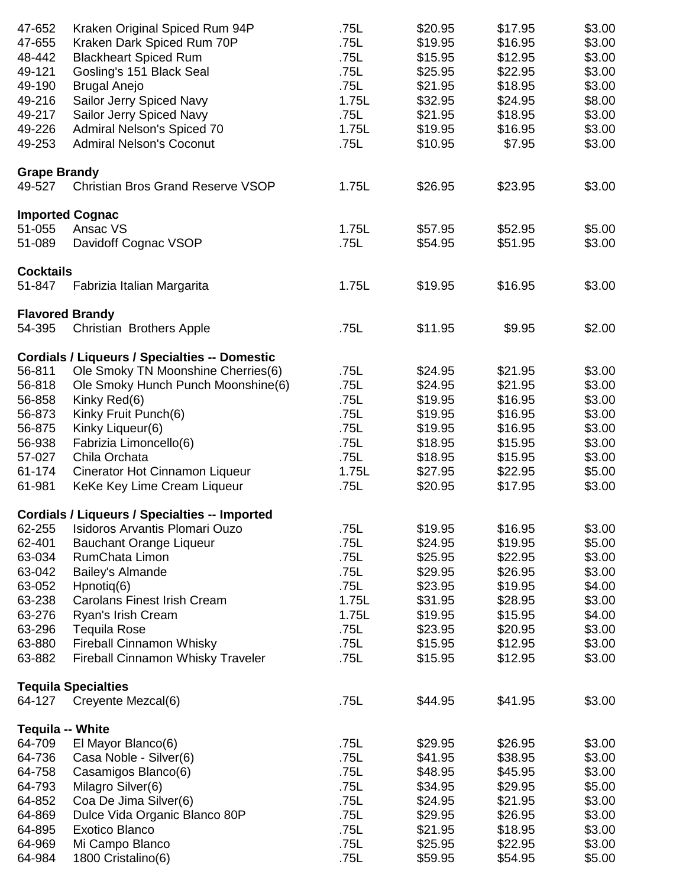| 47-652                  | Kraken Original Spiced Rum 94P                       | .75L  | \$20.95 | \$17.95 | \$3.00 |
|-------------------------|------------------------------------------------------|-------|---------|---------|--------|
| 47-655                  | Kraken Dark Spiced Rum 70P                           | .75L  | \$19.95 | \$16.95 | \$3.00 |
| 48-442                  | <b>Blackheart Spiced Rum</b>                         | .75L  | \$15.95 | \$12.95 | \$3.00 |
| 49-121                  | Gosling's 151 Black Seal                             | .75L  | \$25.95 | \$22.95 | \$3.00 |
| 49-190                  | <b>Brugal Anejo</b>                                  | .75L  | \$21.95 | \$18.95 | \$3.00 |
| 49-216                  | Sailor Jerry Spiced Navy                             | 1.75L | \$32.95 | \$24.95 | \$8.00 |
| 49-217                  | Sailor Jerry Spiced Navy                             | .75L  | \$21.95 | \$18.95 | \$3.00 |
| 49-226                  | Admiral Nelson's Spiced 70                           | 1.75L | \$19.95 | \$16.95 | \$3.00 |
| 49-253                  | <b>Admiral Nelson's Coconut</b>                      | .75L  | \$10.95 | \$7.95  | \$3.00 |
|                         |                                                      |       |         |         |        |
| <b>Grape Brandy</b>     |                                                      |       |         |         |        |
| 49-527                  | <b>Christian Bros Grand Reserve VSOP</b>             | 1.75L | \$26.95 | \$23.95 | \$3.00 |
|                         | <b>Imported Cognac</b>                               |       |         |         |        |
| 51-055                  | Ansac VS                                             | 1.75L | \$57.95 | \$52.95 | \$5.00 |
| 51-089                  | Davidoff Cognac VSOP                                 | .75L  | \$54.95 | \$51.95 | \$3.00 |
| <b>Cocktails</b>        |                                                      |       |         |         |        |
| 51-847                  | Fabrizia Italian Margarita                           | 1.75L | \$19.95 | \$16.95 | \$3.00 |
|                         |                                                      |       |         |         |        |
| 54-395                  | <b>Flavored Brandy</b><br>Christian Brothers Apple   | .75L  | \$11.95 | \$9.95  | \$2.00 |
|                         |                                                      |       |         |         |        |
|                         | <b>Cordials / Liqueurs / Specialties -- Domestic</b> |       |         |         |        |
| 56-811                  | Ole Smoky TN Moonshine Cherries(6)                   | .75L  | \$24.95 | \$21.95 | \$3.00 |
| 56-818                  | Ole Smoky Hunch Punch Moonshine(6)                   | .75L  | \$24.95 | \$21.95 | \$3.00 |
| 56-858                  | Kinky Red(6)                                         | .75L  | \$19.95 | \$16.95 | \$3.00 |
| 56-873                  | Kinky Fruit Punch(6)                                 | .75L  | \$19.95 | \$16.95 | \$3.00 |
| 56-875                  | Kinky Liqueur(6)                                     | .75L  | \$19.95 | \$16.95 | \$3.00 |
| 56-938                  | Fabrizia Limoncello(6)                               | .75L  | \$18.95 | \$15.95 | \$3.00 |
| 57-027                  | Chila Orchata                                        | .75L  | \$18.95 | \$15.95 | \$3.00 |
| 61-174                  | Cinerator Hot Cinnamon Liqueur                       | 1.75L | \$27.95 | \$22.95 | \$5.00 |
| 61-981                  | KeKe Key Lime Cream Liqueur                          | .75L  | \$20.95 | \$17.95 | \$3.00 |
|                         | <b>Cordials / Liqueurs / Specialties -- Imported</b> |       |         |         |        |
| 62-255                  | <b>Isidoros Arvantis Plomari Ouzo</b>                | .75L  | \$19.95 | \$16.95 | \$3.00 |
| 62-401                  | <b>Bauchant Orange Liqueur</b>                       | .75L  | \$24.95 | \$19.95 | \$5.00 |
| 63-034                  | RumChata Limon                                       | .75L  | \$25.95 | \$22.95 | \$3.00 |
| 63-042                  | Bailey's Almande                                     | .75L  | \$29.95 | \$26.95 | \$3.00 |
| 63-052                  | Hpnotiq(6)                                           | .75L  | \$23.95 | \$19.95 | \$4.00 |
| 63-238                  | <b>Carolans Finest Irish Cream</b>                   | 1.75L | \$31.95 | \$28.95 | \$3.00 |
|                         |                                                      |       |         |         |        |
| 63-276                  | Ryan's Irish Cream                                   | 1.75L | \$19.95 | \$15.95 | \$4.00 |
| 63-296                  | <b>Tequila Rose</b>                                  | .75L  | \$23.95 | \$20.95 | \$3.00 |
| 63-880                  | <b>Fireball Cinnamon Whisky</b>                      | .75L  | \$15.95 | \$12.95 | \$3.00 |
| 63-882                  | <b>Fireball Cinnamon Whisky Traveler</b>             | .75L  | \$15.95 | \$12.95 | \$3.00 |
|                         | <b>Tequila Specialties</b>                           |       |         |         |        |
| 64-127                  | Creyente Mezcal(6)                                   | .75L  | \$44.95 | \$41.95 | \$3.00 |
| <b>Tequila -- White</b> |                                                      |       |         |         |        |
| 64-709                  | El Mayor Blanco(6)                                   | .75L  | \$29.95 | \$26.95 | \$3.00 |
| 64-736                  | Casa Noble - Silver(6)                               | .75L  | \$41.95 | \$38.95 | \$3.00 |
| 64-758                  | Casamigos Blanco(6)                                  | .75L  | \$48.95 | \$45.95 | \$3.00 |
| 64-793                  | Milagro Silver(6)                                    | .75L  | \$34.95 | \$29.95 | \$5.00 |
| 64-852                  | Coa De Jima Silver(6)                                | .75L  | \$24.95 | \$21.95 | \$3.00 |
| 64-869                  | Dulce Vida Organic Blanco 80P                        | .75L  | \$29.95 | \$26.95 | \$3.00 |
| 64-895                  | <b>Exotico Blanco</b>                                | .75L  | \$21.95 | \$18.95 | \$3.00 |
| 64-969                  | Mi Campo Blanco                                      | .75L  | \$25.95 | \$22.95 | \$3.00 |
| 64-984                  | 1800 Cristalino(6)                                   | .75L  | \$59.95 | \$54.95 | \$5.00 |
|                         |                                                      |       |         |         |        |